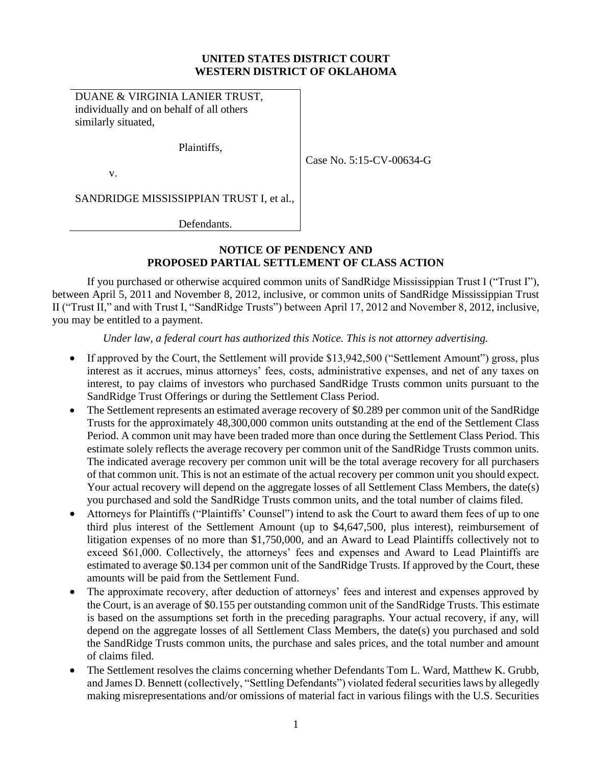### **UNITED STATES DISTRICT COURT WESTERN DISTRICT OF OKLAHOMA**

DUANE & VIRGINIA LANIER TRUST, individually and on behalf of all others similarly situated,

Plaintiffs,

v.

Case No. 5:15-CV-00634-G

SANDRIDGE MISSISSIPPIAN TRUST I, et al.,

Defendants.

## **NOTICE OF PENDENCY AND PROPOSED PARTIAL SETTLEMENT OF CLASS ACTION**

If you purchased or otherwise acquired common units of SandRidge Mississippian Trust I ("Trust I"), between April 5, 2011 and November 8, 2012, inclusive, or common units of SandRidge Mississippian Trust II ("Trust II," and with Trust I, "SandRidge Trusts") between April 17, 2012 and November 8, 2012, inclusive, you may be entitled to a payment.

#### *Under law, a federal court has authorized this Notice. This is not attorney advertising.*

- If approved by the Court, the Settlement will provide \$13,942,500 ("Settlement Amount") gross, plus interest as it accrues, minus attorneys' fees, costs, administrative expenses, and net of any taxes on interest, to pay claims of investors who purchased SandRidge Trusts common units pursuant to the SandRidge Trust Offerings or during the Settlement Class Period.
- The Settlement represents an estimated average recovery of \$0.289 per common unit of the SandRidge Trusts for the approximately 48,300,000 common units outstanding at the end of the Settlement Class Period. A common unit may have been traded more than once during the Settlement Class Period. This estimate solely reflects the average recovery per common unit of the SandRidge Trusts common units. The indicated average recovery per common unit will be the total average recovery for all purchasers of that common unit. This is not an estimate of the actual recovery per common unit you should expect. Your actual recovery will depend on the aggregate losses of all Settlement Class Members, the date(s) you purchased and sold the SandRidge Trusts common units, and the total number of claims filed.
- Attorneys for Plaintiffs ("Plaintiffs' Counsel") intend to ask the Court to award them fees of up to one third plus interest of the Settlement Amount (up to \$4,647,500, plus interest), reimbursement of litigation expenses of no more than \$1,750,000, and an Award to Lead Plaintiffs collectively not to exceed \$61,000. Collectively, the attorneys' fees and expenses and Award to Lead Plaintiffs are estimated to average \$0.134 per common unit of the SandRidge Trusts. If approved by the Court, these amounts will be paid from the Settlement Fund.
- The approximate recovery, after deduction of attorneys' fees and interest and expenses approved by the Court, is an average of \$0.155 per outstanding common unit of the SandRidge Trusts. This estimate is based on the assumptions set forth in the preceding paragraphs. Your actual recovery, if any, will depend on the aggregate losses of all Settlement Class Members, the date(s) you purchased and sold the SandRidge Trusts common units, the purchase and sales prices, and the total number and amount of claims filed.
- The Settlement resolves the claims concerning whether Defendants Tom L. Ward, Matthew K. Grubb, and James D. Bennett (collectively, "Settling Defendants") violated federal securities laws by allegedly making misrepresentations and/or omissions of material fact in various filings with the U.S. Securities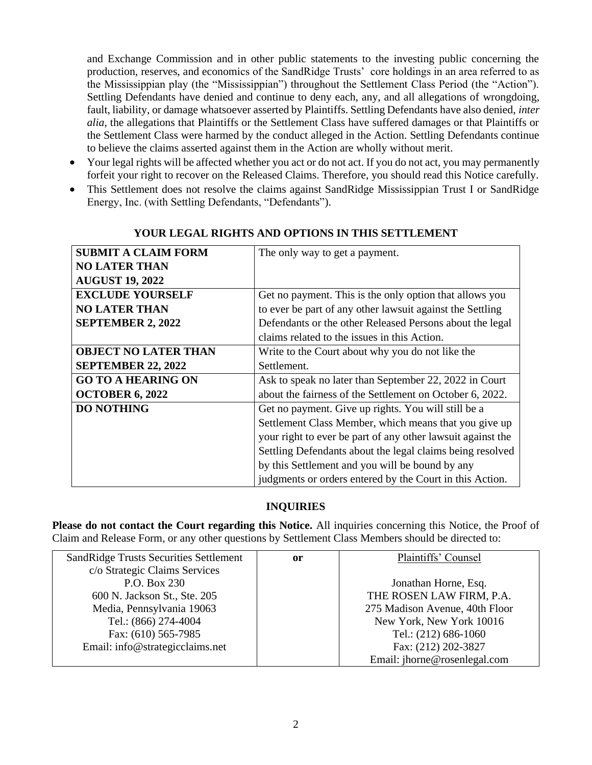and Exchange Commission and in other public statements to the investing public concerning the production, reserves, and economics of the SandRidge Trusts' core holdings in an area referred to as the Mississippian play (the "Mississippian") throughout the Settlement Class Period (the "Action"). Settling Defendants have denied and continue to deny each, any, and all allegations of wrongdoing, fault, liability, or damage whatsoever asserted by Plaintiffs. Settling Defendants have also denied, *inter alia*, the allegations that Plaintiffs or the Settlement Class have suffered damages or that Plaintiffs or the Settlement Class were harmed by the conduct alleged in the Action. Settling Defendants continue to believe the claims asserted against them in the Action are wholly without merit.

- Your legal rights will be affected whether you act or do not act. If you do not act, you may permanently forfeit your right to recover on the Released Claims. Therefore, you should read this Notice carefully.
- This Settlement does not resolve the claims against SandRidge Mississippian Trust I or SandRidge Energy, Inc. (with Settling Defendants, "Defendants").

| <b>SUBMIT A CLAIM FORM</b>  | The only way to get a payment.                              |
|-----------------------------|-------------------------------------------------------------|
| <b>NO LATER THAN</b>        |                                                             |
| <b>AUGUST 19, 2022</b>      |                                                             |
| <b>EXCLUDE YOURSELF</b>     | Get no payment. This is the only option that allows you     |
| <b>NO LATER THAN</b>        | to ever be part of any other lawsuit against the Settling   |
| <b>SEPTEMBER 2, 2022</b>    | Defendants or the other Released Persons about the legal    |
|                             | claims related to the issues in this Action.                |
| <b>OBJECT NO LATER THAN</b> | Write to the Court about why you do not like the            |
| <b>SEPTEMBER 22, 2022</b>   | Settlement.                                                 |
| <b>GO TO A HEARING ON</b>   | Ask to speak no later than September 22, 2022 in Court      |
| <b>OCTOBER 6, 2022</b>      | about the fairness of the Settlement on October 6, 2022.    |
| <b>DO NOTHING</b>           | Get no payment. Give up rights. You will still be a         |
|                             | Settlement Class Member, which means that you give up       |
|                             | your right to ever be part of any other lawsuit against the |
|                             | Settling Defendants about the legal claims being resolved   |
|                             | by this Settlement and you will be bound by any             |
|                             | judgments or orders entered by the Court in this Action.    |

## **YOUR LEGAL RIGHTS AND OPTIONS IN THIS SETTLEMENT**

# **INQUIRIES**

**Please do not contact the Court regarding this Notice.** All inquiries concerning this Notice, the Proof of Claim and Release Form, or any other questions by Settlement Class Members should be directed to:

| SandRidge Trusts Securities Settlement | or | Plaintiffs' Counsel            |
|----------------------------------------|----|--------------------------------|
| c/o Strategic Claims Services          |    |                                |
| P.O. Box 230                           |    | Jonathan Horne, Esq.           |
| 600 N. Jackson St., Ste. 205           |    | THE ROSEN LAW FIRM, P.A.       |
| Media, Pennsylvania 19063              |    | 275 Madison Avenue, 40th Floor |
| Tel.: (866) 274-4004                   |    | New York, New York 10016       |
| Fax: (610) 565-7985                    |    | Tel.: (212) 686-1060           |
| Email: info@strategicclaims.net        |    | Fax: (212) 202-3827            |
|                                        |    | Email: jhorne@rosenlegal.com   |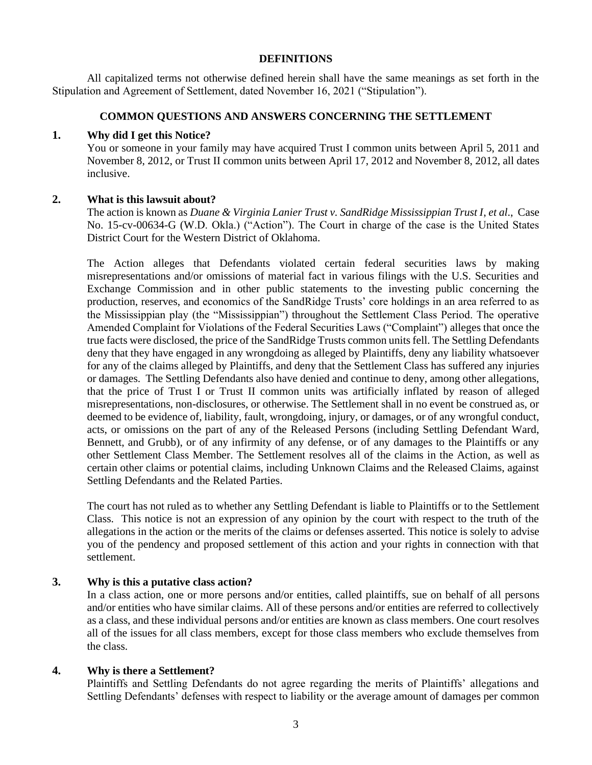#### **DEFINITIONS**

All capitalized terms not otherwise defined herein shall have the same meanings as set forth in the Stipulation and Agreement of Settlement, dated November 16, 2021 ("Stipulation").

#### **COMMON QUESTIONS AND ANSWERS CONCERNING THE SETTLEMENT**

#### **1. Why did I get this Notice?**

You or someone in your family may have acquired Trust I common units between April 5, 2011 and November 8, 2012, or Trust II common units between April 17, 2012 and November 8, 2012, all dates inclusive.

### **2. What is this lawsuit about?**

The action is known as *Duane & Virginia Lanier Trust v. SandRidge Mississippian Trust I*, *et al*., Case No. 15-cv-00634-G (W.D. Okla.) ("Action"). The Court in charge of the case is the United States District Court for the Western District of Oklahoma.

The Action alleges that Defendants violated certain federal securities laws by making misrepresentations and/or omissions of material fact in various filings with the U.S. Securities and Exchange Commission and in other public statements to the investing public concerning the production, reserves, and economics of the SandRidge Trusts' core holdings in an area referred to as the Mississippian play (the "Mississippian") throughout the Settlement Class Period. The operative Amended Complaint for Violations of the Federal Securities Laws ("Complaint") alleges that once the true facts were disclosed, the price of the SandRidge Trusts common units fell. The Settling Defendants deny that they have engaged in any wrongdoing as alleged by Plaintiffs, deny any liability whatsoever for any of the claims alleged by Plaintiffs, and deny that the Settlement Class has suffered any injuries or damages. The Settling Defendants also have denied and continue to deny, among other allegations, that the price of Trust I or Trust II common units was artificially inflated by reason of alleged misrepresentations, non-disclosures, or otherwise. The Settlement shall in no event be construed as, or deemed to be evidence of, liability, fault, wrongdoing, injury, or damages, or of any wrongful conduct, acts, or omissions on the part of any of the Released Persons (including Settling Defendant Ward, Bennett, and Grubb), or of any infirmity of any defense, or of any damages to the Plaintiffs or any other Settlement Class Member. The Settlement resolves all of the claims in the Action, as well as certain other claims or potential claims, including Unknown Claims and the Released Claims, against Settling Defendants and the Related Parties.

The court has not ruled as to whether any Settling Defendant is liable to Plaintiffs or to the Settlement Class. This notice is not an expression of any opinion by the court with respect to the truth of the allegations in the action or the merits of the claims or defenses asserted. This notice is solely to advise you of the pendency and proposed settlement of this action and your rights in connection with that settlement.

### **3. Why is this a putative class action?**

In a class action, one or more persons and/or entities, called plaintiffs, sue on behalf of all persons and/or entities who have similar claims. All of these persons and/or entities are referred to collectively as a class, and these individual persons and/or entities are known as class members. One court resolves all of the issues for all class members, except for those class members who exclude themselves from the class.

### **4. Why is there a Settlement?**

Plaintiffs and Settling Defendants do not agree regarding the merits of Plaintiffs' allegations and Settling Defendants' defenses with respect to liability or the average amount of damages per common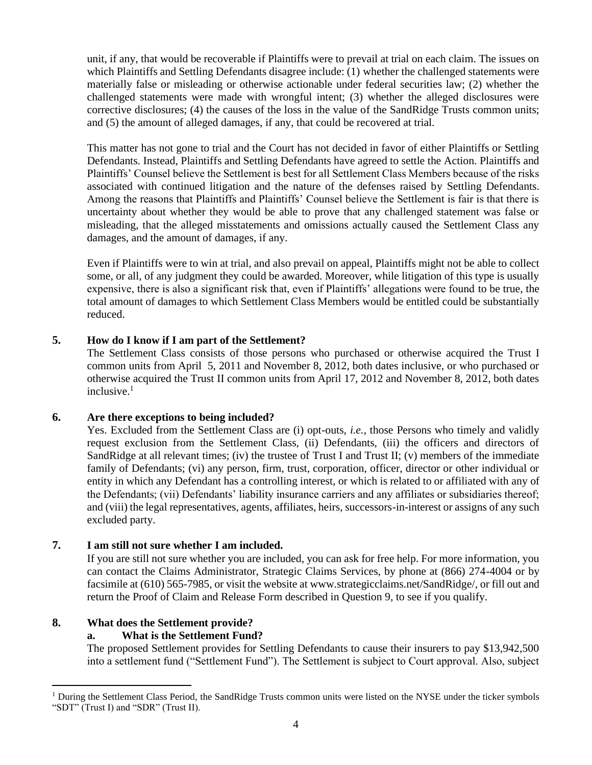unit, if any, that would be recoverable if Plaintiffs were to prevail at trial on each claim. The issues on which Plaintiffs and Settling Defendants disagree include: (1) whether the challenged statements were materially false or misleading or otherwise actionable under federal securities law; (2) whether the challenged statements were made with wrongful intent; (3) whether the alleged disclosures were corrective disclosures; (4) the causes of the loss in the value of the SandRidge Trusts common units; and (5) the amount of alleged damages, if any, that could be recovered at trial.

This matter has not gone to trial and the Court has not decided in favor of either Plaintiffs or Settling Defendants. Instead, Plaintiffs and Settling Defendants have agreed to settle the Action. Plaintiffs and Plaintiffs' Counsel believe the Settlement is best for all Settlement Class Members because of the risks associated with continued litigation and the nature of the defenses raised by Settling Defendants. Among the reasons that Plaintiffs and Plaintiffs' Counsel believe the Settlement is fair is that there is uncertainty about whether they would be able to prove that any challenged statement was false or misleading, that the alleged misstatements and omissions actually caused the Settlement Class any damages, and the amount of damages, if any.

Even if Plaintiffs were to win at trial, and also prevail on appeal, Plaintiffs might not be able to collect some, or all, of any judgment they could be awarded. Moreover, while litigation of this type is usually expensive, there is also a significant risk that, even if Plaintiffs' allegations were found to be true, the total amount of damages to which Settlement Class Members would be entitled could be substantially reduced.

## **5. How do I know if I am part of the Settlement?**

The Settlement Class consists of those persons who purchased or otherwise acquired the Trust I common units from April 5, 2011 and November 8, 2012, both dates inclusive, or who purchased or otherwise acquired the Trust II common units from April 17, 2012 and November 8, 2012, both dates inclusive. $1$ 

### **6. Are there exceptions to being included?**

Yes. Excluded from the Settlement Class are (i) opt-outs, *i.e.*, those Persons who timely and validly request exclusion from the Settlement Class, (ii) Defendants, (iii) the officers and directors of SandRidge at all relevant times; (iv) the trustee of Trust I and Trust II; (v) members of the immediate family of Defendants; (vi) any person, firm, trust, corporation, officer, director or other individual or entity in which any Defendant has a controlling interest, or which is related to or affiliated with any of the Defendants; (vii) Defendants' liability insurance carriers and any affiliates or subsidiaries thereof; and (viii) the legal representatives, agents, affiliates, heirs, successors-in-interest or assigns of any such excluded party.

### **7. I am still not sure whether I am included.**

If you are still not sure whether you are included, you can ask for free help. For more information, you can contact the Claims Administrator, Strategic Claims Services, by phone at (866) 274-4004 or by facsimile at (610) 565-7985, or visit the website at www.strategicclaims.net/SandRidge/, or fill out and return the Proof of Claim and Release Form described in Question 9, to see if you qualify.

# **8. What does the Settlement provide?**

### **a. What is the Settlement Fund?**

The proposed Settlement provides for Settling Defendants to cause their insurers to pay \$13,942,500 into a settlement fund ("Settlement Fund"). The Settlement is subject to Court approval. Also, subject

<sup>&</sup>lt;sup>1</sup> During the Settlement Class Period, the SandRidge Trusts common units were listed on the NYSE under the ticker symbols "SDT" (Trust I) and "SDR" (Trust II).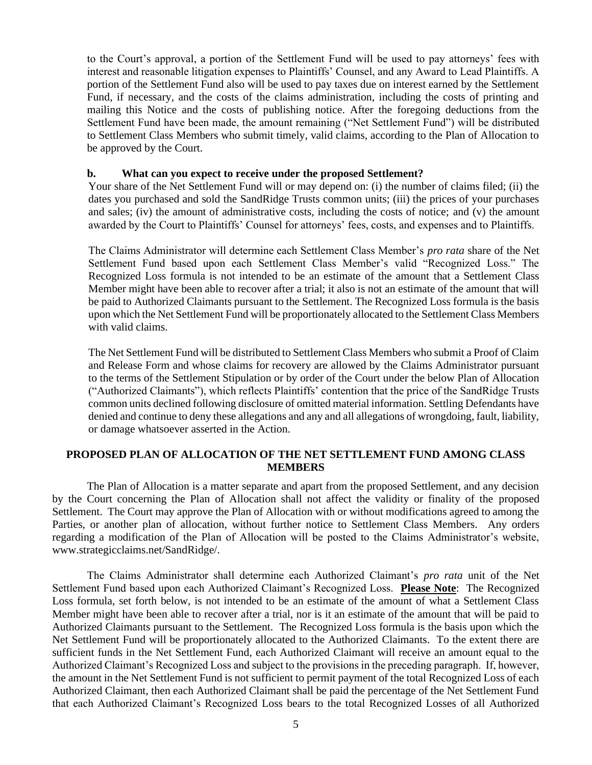to the Court's approval, a portion of the Settlement Fund will be used to pay attorneys' fees with interest and reasonable litigation expenses to Plaintiffs' Counsel, and any Award to Lead Plaintiffs. A portion of the Settlement Fund also will be used to pay taxes due on interest earned by the Settlement Fund, if necessary, and the costs of the claims administration, including the costs of printing and mailing this Notice and the costs of publishing notice. After the foregoing deductions from the Settlement Fund have been made, the amount remaining ("Net Settlement Fund") will be distributed to Settlement Class Members who submit timely, valid claims, according to the Plan of Allocation to be approved by the Court.

#### **b. What can you expect to receive under the proposed Settlement?**

Your share of the Net Settlement Fund will or may depend on: (i) the number of claims filed; (ii) the dates you purchased and sold the SandRidge Trusts common units; (iii) the prices of your purchases and sales; (iv) the amount of administrative costs, including the costs of notice; and (v) the amount awarded by the Court to Plaintiffs' Counsel for attorneys' fees, costs, and expenses and to Plaintiffs.

The Claims Administrator will determine each Settlement Class Member's *pro rata* share of the Net Settlement Fund based upon each Settlement Class Member's valid "Recognized Loss." The Recognized Loss formula is not intended to be an estimate of the amount that a Settlement Class Member might have been able to recover after a trial; it also is not an estimate of the amount that will be paid to Authorized Claimants pursuant to the Settlement. The Recognized Loss formula is the basis upon which the Net Settlement Fund will be proportionately allocated to the Settlement Class Members with valid claims.

The Net Settlement Fund will be distributed to Settlement Class Members who submit a Proof of Claim and Release Form and whose claims for recovery are allowed by the Claims Administrator pursuant to the terms of the Settlement Stipulation or by order of the Court under the below Plan of Allocation ("Authorized Claimants"), which reflects Plaintiffs' contention that the price of the SandRidge Trusts common units declined following disclosure of omitted material information. Settling Defendants have denied and continue to deny these allegations and any and all allegations of wrongdoing, fault, liability, or damage whatsoever asserted in the Action.

#### **PROPOSED PLAN OF ALLOCATION OF THE NET SETTLEMENT FUND AMONG CLASS MEMBERS**

The Plan of Allocation is a matter separate and apart from the proposed Settlement, and any decision by the Court concerning the Plan of Allocation shall not affect the validity or finality of the proposed Settlement. The Court may approve the Plan of Allocation with or without modifications agreed to among the Parties, or another plan of allocation, without further notice to Settlement Class Members. Any orders regarding a modification of the Plan of Allocation will be posted to the Claims Administrator's website, www.strategicclaims.net/SandRidge/.

The Claims Administrator shall determine each Authorized Claimant's *pro rata* unit of the Net Settlement Fund based upon each Authorized Claimant's Recognized Loss. **Please Note**: The Recognized Loss formula, set forth below, is not intended to be an estimate of the amount of what a Settlement Class Member might have been able to recover after a trial, nor is it an estimate of the amount that will be paid to Authorized Claimants pursuant to the Settlement. The Recognized Loss formula is the basis upon which the Net Settlement Fund will be proportionately allocated to the Authorized Claimants. To the extent there are sufficient funds in the Net Settlement Fund, each Authorized Claimant will receive an amount equal to the Authorized Claimant's Recognized Loss and subject to the provisions in the preceding paragraph. If, however, the amount in the Net Settlement Fund is not sufficient to permit payment of the total Recognized Loss of each Authorized Claimant, then each Authorized Claimant shall be paid the percentage of the Net Settlement Fund that each Authorized Claimant's Recognized Loss bears to the total Recognized Losses of all Authorized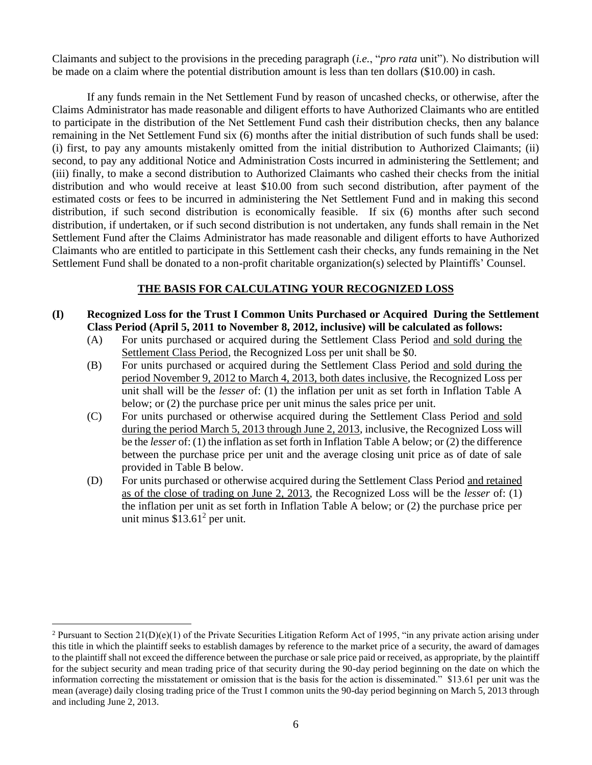Claimants and subject to the provisions in the preceding paragraph (*i.e.*, "*pro rata* unit"). No distribution will be made on a claim where the potential distribution amount is less than ten dollars (\$10.00) in cash.

If any funds remain in the Net Settlement Fund by reason of uncashed checks, or otherwise, after the Claims Administrator has made reasonable and diligent efforts to have Authorized Claimants who are entitled to participate in the distribution of the Net Settlement Fund cash their distribution checks, then any balance remaining in the Net Settlement Fund six (6) months after the initial distribution of such funds shall be used: (i) first, to pay any amounts mistakenly omitted from the initial distribution to Authorized Claimants; (ii) second, to pay any additional Notice and Administration Costs incurred in administering the Settlement; and (iii) finally, to make a second distribution to Authorized Claimants who cashed their checks from the initial distribution and who would receive at least \$10.00 from such second distribution, after payment of the estimated costs or fees to be incurred in administering the Net Settlement Fund and in making this second distribution, if such second distribution is economically feasible. If six (6) months after such second distribution, if undertaken, or if such second distribution is not undertaken, any funds shall remain in the Net Settlement Fund after the Claims Administrator has made reasonable and diligent efforts to have Authorized Claimants who are entitled to participate in this Settlement cash their checks, any funds remaining in the Net Settlement Fund shall be donated to a non-profit charitable organization(s) selected by Plaintiffs' Counsel.

## **THE BASIS FOR CALCULATING YOUR RECOGNIZED LOSS**

- **(I) Recognized Loss for the Trust I Common Units Purchased or Acquired During the Settlement Class Period (April 5, 2011 to November 8, 2012, inclusive) will be calculated as follows:**
	- (A) For units purchased or acquired during the Settlement Class Period and sold during the Settlement Class Period, the Recognized Loss per unit shall be \$0.
	- (B) For units purchased or acquired during the Settlement Class Period and sold during the period November 9, 2012 to March 4, 2013, both dates inclusive, the Recognized Loss per unit shall will be the *lesser* of: (1) the inflation per unit as set forth in Inflation Table A below; or (2) the purchase price per unit minus the sales price per unit.
	- (C) For units purchased or otherwise acquired during the Settlement Class Period and sold during the period March 5, 2013 through June 2, 2013, inclusive, the Recognized Loss will be the *lesser* of: (1) the inflation as set forth in Inflation Table A below; or (2) the difference between the purchase price per unit and the average closing unit price as of date of sale provided in Table B below.
	- (D) For units purchased or otherwise acquired during the Settlement Class Period and retained as of the close of trading on June 2, 2013, the Recognized Loss will be the *lesser* of: (1) the inflation per unit as set forth in Inflation Table A below; or (2) the purchase price per unit minus  $$13.61<sup>2</sup>$  per unit.

<sup>&</sup>lt;sup>2</sup> Pursuant to Section 21(D)(e)(1) of the Private Securities Litigation Reform Act of 1995, "in any private action arising under this title in which the plaintiff seeks to establish damages by reference to the market price of a security, the award of damages to the plaintiff shall not exceed the difference between the purchase or sale price paid or received, as appropriate, by the plaintiff for the subject security and mean trading price of that security during the 90-day period beginning on the date on which the information correcting the misstatement or omission that is the basis for the action is disseminated." \$13.61 per unit was the mean (average) daily closing trading price of the Trust I common units the 90-day period beginning on March 5, 2013 through and including June 2, 2013.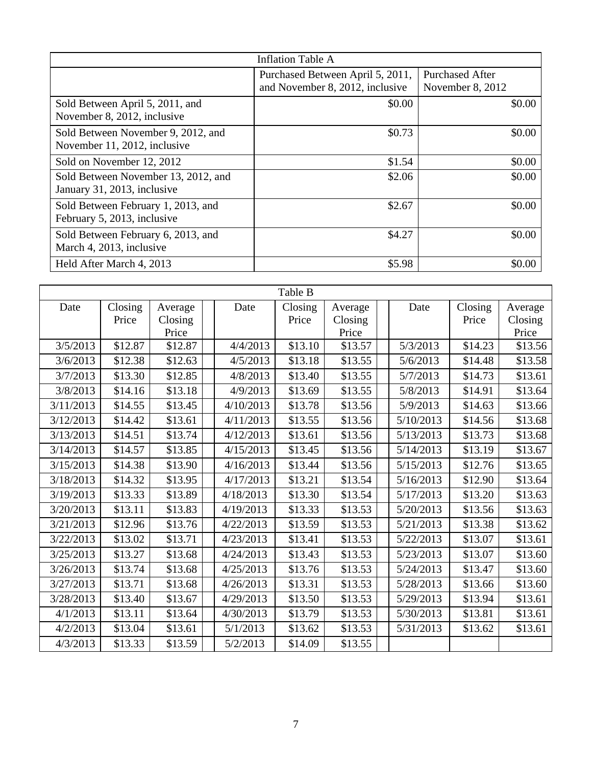|                                                                    | <b>Inflation Table A</b>                                            |                                            |
|--------------------------------------------------------------------|---------------------------------------------------------------------|--------------------------------------------|
|                                                                    | Purchased Between April 5, 2011,<br>and November 8, 2012, inclusive | <b>Purchased After</b><br>November 8, 2012 |
| Sold Between April 5, 2011, and<br>November 8, 2012, inclusive     | \$0.00                                                              | \$0.00                                     |
| Sold Between November 9, 2012, and<br>November 11, 2012, inclusive | \$0.73                                                              | \$0.00                                     |
| Sold on November 12, 2012                                          | \$1.54                                                              | \$0.00                                     |
| Sold Between November 13, 2012, and<br>January 31, 2013, inclusive | \$2.06                                                              | \$0.00                                     |
| Sold Between February 1, 2013, and<br>February 5, 2013, inclusive  | \$2.67                                                              | \$0.00                                     |
| Sold Between February 6, 2013, and<br>March 4, 2013, inclusive     | \$4.27                                                              | \$0.00                                     |
| Held After March 4, 2013                                           | \$5.98                                                              | \$0.00                                     |

|           | Table B |         |  |           |         |         |  |           |         |         |
|-----------|---------|---------|--|-----------|---------|---------|--|-----------|---------|---------|
| Date      | Closing | Average |  | Date      | Closing | Average |  | Date      | Closing | Average |
|           | Price   | Closing |  |           | Price   | Closing |  |           | Price   | Closing |
|           |         | Price   |  |           |         | Price   |  |           |         | Price   |
| 3/5/2013  | \$12.87 | \$12.87 |  | 4/4/2013  | \$13.10 | \$13.57 |  | 5/3/2013  | \$14.23 | \$13.56 |
| 3/6/2013  | \$12.38 | \$12.63 |  | 4/5/2013  | \$13.18 | \$13.55 |  | 5/6/2013  | \$14.48 | \$13.58 |
| 3/7/2013  | \$13.30 | \$12.85 |  | 4/8/2013  | \$13.40 | \$13.55 |  | 5/7/2013  | \$14.73 | \$13.61 |
| 3/8/2013  | \$14.16 | \$13.18 |  | 4/9/2013  | \$13.69 | \$13.55 |  | 5/8/2013  | \$14.91 | \$13.64 |
| 3/11/2013 | \$14.55 | \$13.45 |  | 4/10/2013 | \$13.78 | \$13.56 |  | 5/9/2013  | \$14.63 | \$13.66 |
| 3/12/2013 | \$14.42 | \$13.61 |  | 4/11/2013 | \$13.55 | \$13.56 |  | 5/10/2013 | \$14.56 | \$13.68 |
| 3/13/2013 | \$14.51 | \$13.74 |  | 4/12/2013 | \$13.61 | \$13.56 |  | 5/13/2013 | \$13.73 | \$13.68 |
| 3/14/2013 | \$14.57 | \$13.85 |  | 4/15/2013 | \$13.45 | \$13.56 |  | 5/14/2013 | \$13.19 | \$13.67 |
| 3/15/2013 | \$14.38 | \$13.90 |  | 4/16/2013 | \$13.44 | \$13.56 |  | 5/15/2013 | \$12.76 | \$13.65 |
| 3/18/2013 | \$14.32 | \$13.95 |  | 4/17/2013 | \$13.21 | \$13.54 |  | 5/16/2013 | \$12.90 | \$13.64 |
| 3/19/2013 | \$13.33 | \$13.89 |  | 4/18/2013 | \$13.30 | \$13.54 |  | 5/17/2013 | \$13.20 | \$13.63 |
| 3/20/2013 | \$13.11 | \$13.83 |  | 4/19/2013 | \$13.33 | \$13.53 |  | 5/20/2013 | \$13.56 | \$13.63 |
| 3/21/2013 | \$12.96 | \$13.76 |  | 4/22/2013 | \$13.59 | \$13.53 |  | 5/21/2013 | \$13.38 | \$13.62 |
| 3/22/2013 | \$13.02 | \$13.71 |  | 4/23/2013 | \$13.41 | \$13.53 |  | 5/22/2013 | \$13.07 | \$13.61 |
| 3/25/2013 | \$13.27 | \$13.68 |  | 4/24/2013 | \$13.43 | \$13.53 |  | 5/23/2013 | \$13.07 | \$13.60 |
| 3/26/2013 | \$13.74 | \$13.68 |  | 4/25/2013 | \$13.76 | \$13.53 |  | 5/24/2013 | \$13.47 | \$13.60 |
| 3/27/2013 | \$13.71 | \$13.68 |  | 4/26/2013 | \$13.31 | \$13.53 |  | 5/28/2013 | \$13.66 | \$13.60 |
| 3/28/2013 | \$13.40 | \$13.67 |  | 4/29/2013 | \$13.50 | \$13.53 |  | 5/29/2013 | \$13.94 | \$13.61 |
| 4/1/2013  | \$13.11 | \$13.64 |  | 4/30/2013 | \$13.79 | \$13.53 |  | 5/30/2013 | \$13.81 | \$13.61 |
| 4/2/2013  | \$13.04 | \$13.61 |  | 5/1/2013  | \$13.62 | \$13.53 |  | 5/31/2013 | \$13.62 | \$13.61 |
| 4/3/2013  | \$13.33 | \$13.59 |  | 5/2/2013  | \$14.09 | \$13.55 |  |           |         |         |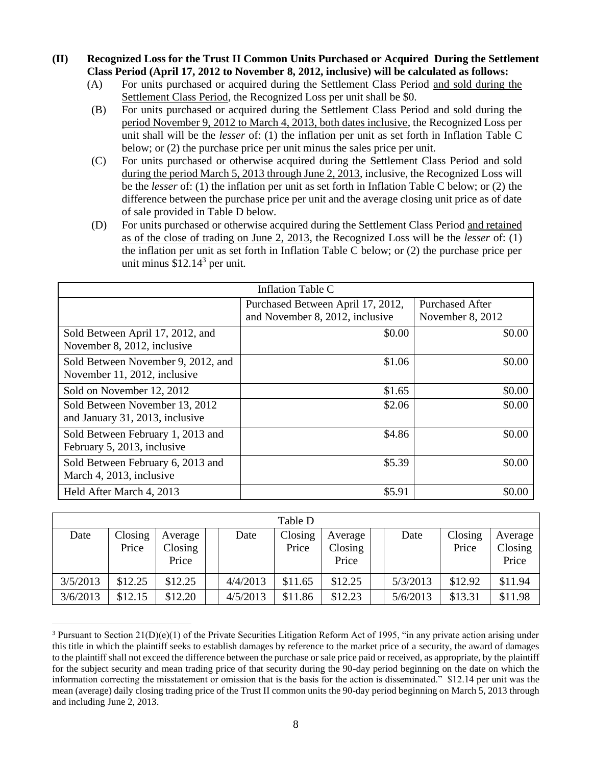#### **(II) Recognized Loss for the Trust II Common Units Purchased or Acquired During the Settlement Class Period (April 17, 2012 to November 8, 2012, inclusive) will be calculated as follows:**

- (A) For units purchased or acquired during the Settlement Class Period and sold during the Settlement Class Period, the Recognized Loss per unit shall be \$0.
- (B) For units purchased or acquired during the Settlement Class Period and sold during the period November 9, 2012 to March 4, 2013, both dates inclusive, the Recognized Loss per unit shall will be the *lesser* of: (1) the inflation per unit as set forth in Inflation Table C below; or (2) the purchase price per unit minus the sales price per unit.
- (C) For units purchased or otherwise acquired during the Settlement Class Period and sold during the period March 5, 2013 through June 2, 2013, inclusive, the Recognized Loss will be the *lesser* of: (1) the inflation per unit as set forth in Inflation Table C below; or (2) the difference between the purchase price per unit and the average closing unit price as of date of sale provided in Table D below.
- (D) For units purchased or otherwise acquired during the Settlement Class Period and retained as of the close of trading on June 2, 2013, the Recognized Loss will be the *lesser* of: (1) the inflation per unit as set forth in Inflation Table C below; or (2) the purchase price per unit minus  $$12.14^3$  per unit.

| Inflation Table C                                                  |                                                                      |                                            |  |  |  |  |  |
|--------------------------------------------------------------------|----------------------------------------------------------------------|--------------------------------------------|--|--|--|--|--|
|                                                                    | Purchased Between April 17, 2012,<br>and November 8, 2012, inclusive | <b>Purchased After</b><br>November 8, 2012 |  |  |  |  |  |
| Sold Between April 17, 2012, and<br>November 8, 2012, inclusive    | \$0.00                                                               | \$0.00                                     |  |  |  |  |  |
| Sold Between November 9, 2012, and<br>November 11, 2012, inclusive | \$1.06                                                               | \$0.00                                     |  |  |  |  |  |
| Sold on November 12, 2012                                          | \$1.65                                                               | \$0.00                                     |  |  |  |  |  |
| Sold Between November 13, 2012<br>and January 31, 2013, inclusive  | \$2.06                                                               | \$0.00                                     |  |  |  |  |  |
| Sold Between February 1, 2013 and<br>February 5, 2013, inclusive   | \$4.86                                                               | \$0.00                                     |  |  |  |  |  |
| Sold Between February 6, 2013 and<br>March 4, 2013, inclusive      | \$5.39                                                               | \$0.00                                     |  |  |  |  |  |
| Held After March 4, 2013                                           | \$5.91                                                               | \$0.00                                     |  |  |  |  |  |

|          |                  |                             |          | Table D          |                             |          |                  |                             |
|----------|------------------|-----------------------------|----------|------------------|-----------------------------|----------|------------------|-----------------------------|
| Date     | Closing<br>Price | Average<br>Closing<br>Price | Date     | Closing<br>Price | Average<br>Closing<br>Price | Date     | Closing<br>Price | Average<br>Closing<br>Price |
| 3/5/2013 | \$12.25          | \$12.25                     | 4/4/2013 | \$11.65          | \$12.25                     | 5/3/2013 | \$12.92          | \$11.94                     |
| 3/6/2013 | \$12.15          | \$12.20                     | 4/5/2013 | \$11.86          | \$12.23                     | 5/6/2013 | \$13.31          | \$11.98                     |

<sup>&</sup>lt;sup>3</sup> Pursuant to Section 21(D)(e)(1) of the Private Securities Litigation Reform Act of 1995, "in any private action arising under this title in which the plaintiff seeks to establish damages by reference to the market price of a security, the award of damages to the plaintiff shall not exceed the difference between the purchase or sale price paid or received, as appropriate, by the plaintiff for the subject security and mean trading price of that security during the 90-day period beginning on the date on which the information correcting the misstatement or omission that is the basis for the action is disseminated." \$12.14 per unit was the mean (average) daily closing trading price of the Trust II common units the 90-day period beginning on March 5, 2013 through and including June 2, 2013.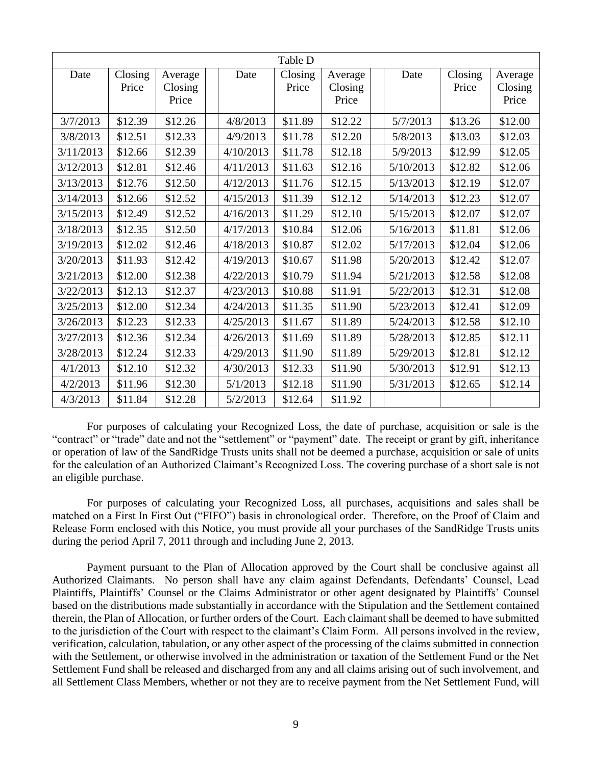|           |                  |                             |           | Table D          |                             |           |                  |                             |
|-----------|------------------|-----------------------------|-----------|------------------|-----------------------------|-----------|------------------|-----------------------------|
| Date      | Closing<br>Price | Average<br>Closing<br>Price | Date      | Closing<br>Price | Average<br>Closing<br>Price | Date      | Closing<br>Price | Average<br>Closing<br>Price |
| 3/7/2013  | \$12.39          | \$12.26                     | 4/8/2013  | \$11.89          | \$12.22                     | 5/7/2013  | \$13.26          | \$12.00                     |
| 3/8/2013  | \$12.51          | \$12.33                     | 4/9/2013  | \$11.78          | \$12.20                     | 5/8/2013  | \$13.03          | \$12.03                     |
| 3/11/2013 | \$12.66          | \$12.39                     | 4/10/2013 | \$11.78          | \$12.18                     | 5/9/2013  | \$12.99          | \$12.05                     |
| 3/12/2013 | \$12.81          | \$12.46                     | 4/11/2013 | \$11.63          | \$12.16                     | 5/10/2013 | \$12.82          | \$12.06                     |
| 3/13/2013 | \$12.76          | \$12.50                     | 4/12/2013 | \$11.76          | \$12.15                     | 5/13/2013 | \$12.19          | \$12.07                     |
| 3/14/2013 | \$12.66          | \$12.52                     | 4/15/2013 | \$11.39          | \$12.12                     | 5/14/2013 | \$12.23          | \$12.07                     |
| 3/15/2013 | \$12.49          | \$12.52                     | 4/16/2013 | \$11.29          | \$12.10                     | 5/15/2013 | \$12.07          | \$12.07                     |
| 3/18/2013 | \$12.35          | \$12.50                     | 4/17/2013 | \$10.84          | \$12.06                     | 5/16/2013 | \$11.81          | \$12.06                     |
| 3/19/2013 | \$12.02          | \$12.46                     | 4/18/2013 | \$10.87          | \$12.02                     | 5/17/2013 | \$12.04          | \$12.06                     |
| 3/20/2013 | \$11.93          | \$12.42                     | 4/19/2013 | \$10.67          | \$11.98                     | 5/20/2013 | \$12.42          | \$12.07                     |
| 3/21/2013 | \$12.00          | \$12.38                     | 4/22/2013 | \$10.79          | \$11.94                     | 5/21/2013 | \$12.58          | \$12.08                     |
| 3/22/2013 | \$12.13          | \$12.37                     | 4/23/2013 | \$10.88          | \$11.91                     | 5/22/2013 | \$12.31          | \$12.08                     |
| 3/25/2013 | \$12.00          | \$12.34                     | 4/24/2013 | \$11.35          | \$11.90                     | 5/23/2013 | \$12.41          | \$12.09                     |
| 3/26/2013 | \$12.23          | \$12.33                     | 4/25/2013 | \$11.67          | \$11.89                     | 5/24/2013 | \$12.58          | \$12.10                     |
| 3/27/2013 | \$12.36          | \$12.34                     | 4/26/2013 | \$11.69          | \$11.89                     | 5/28/2013 | \$12.85          | \$12.11                     |
| 3/28/2013 | \$12.24          | \$12.33                     | 4/29/2013 | \$11.90          | \$11.89                     | 5/29/2013 | \$12.81          | \$12.12                     |
| 4/1/2013  | \$12.10          | \$12.32                     | 4/30/2013 | \$12.33          | \$11.90                     | 5/30/2013 | \$12.91          | \$12.13                     |
| 4/2/2013  | \$11.96          | \$12.30                     | 5/1/2013  | \$12.18          | \$11.90                     | 5/31/2013 | \$12.65          | \$12.14                     |
| 4/3/2013  | \$11.84          | \$12.28                     | 5/2/2013  | \$12.64          | \$11.92                     |           |                  |                             |

For purposes of calculating your Recognized Loss, the date of purchase, acquisition or sale is the "contract" or "trade" date and not the "settlement" or "payment" date. The receipt or grant by gift, inheritance or operation of law of the SandRidge Trusts units shall not be deemed a purchase, acquisition or sale of units for the calculation of an Authorized Claimant's Recognized Loss. The covering purchase of a short sale is not an eligible purchase.

For purposes of calculating your Recognized Loss, all purchases, acquisitions and sales shall be matched on a First In First Out ("FIFO") basis in chronological order. Therefore, on the Proof of Claim and Release Form enclosed with this Notice, you must provide all your purchases of the SandRidge Trusts units during the period April 7, 2011 through and including June 2, 2013.

Payment pursuant to the Plan of Allocation approved by the Court shall be conclusive against all Authorized Claimants. No person shall have any claim against Defendants, Defendants' Counsel, Lead Plaintiffs, Plaintiffs' Counsel or the Claims Administrator or other agent designated by Plaintiffs' Counsel based on the distributions made substantially in accordance with the Stipulation and the Settlement contained therein, the Plan of Allocation, or further orders of the Court. Each claimant shall be deemed to have submitted to the jurisdiction of the Court with respect to the claimant's Claim Form. All persons involved in the review, verification, calculation, tabulation, or any other aspect of the processing of the claims submitted in connection with the Settlement, or otherwise involved in the administration or taxation of the Settlement Fund or the Net Settlement Fund shall be released and discharged from any and all claims arising out of such involvement, and all Settlement Class Members, whether or not they are to receive payment from the Net Settlement Fund, will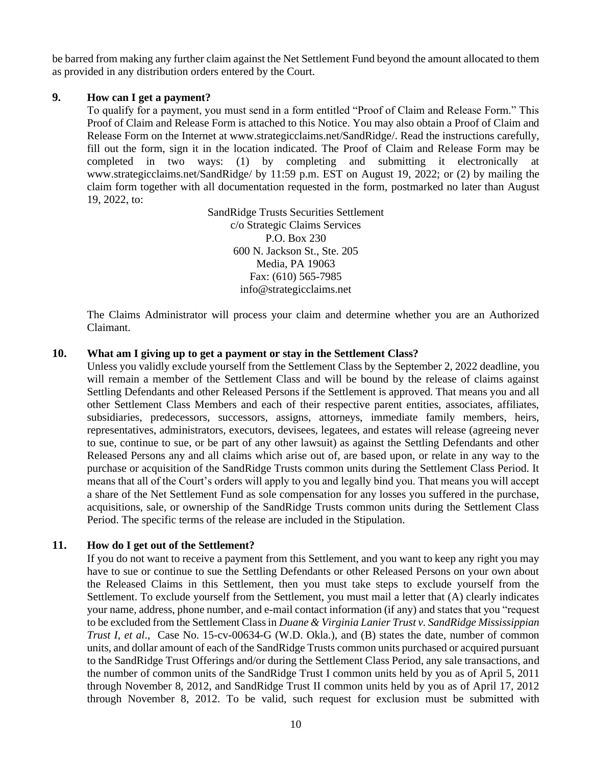be barred from making any further claim against the Net Settlement Fund beyond the amount allocated to them as provided in any distribution orders entered by the Court.

#### **9. How can I get a payment?**

To qualify for a payment, you must send in a form entitled "Proof of Claim and Release Form." This Proof of Claim and Release Form is attached to this Notice. You may also obtain a Proof of Claim and Release Form on the Internet at www.strategicclaims.net/SandRidge/. Read the instructions carefully, fill out the form, sign it in the location indicated. The Proof of Claim and Release Form may be completed in two ways: (1) by completing and submitting it electronically at www.strategicclaims.net/SandRidge/ by 11:59 p.m. EST on August 19, 2022; or (2) by mailing the claim form together with all documentation requested in the form, postmarked no later than August 19, 2022, to:

> SandRidge Trusts Securities Settlement c/o Strategic Claims Services P.O. Box 230 600 N. Jackson St., Ste. 205 Media, PA 19063 Fax: (610) 565-7985 info@strategicclaims.net

The Claims Administrator will process your claim and determine whether you are an Authorized Claimant.

#### **10. What am I giving up to get a payment or stay in the Settlement Class?**

Unless you validly exclude yourself from the Settlement Class by the September 2, 2022 deadline, you will remain a member of the Settlement Class and will be bound by the release of claims against Settling Defendants and other Released Persons if the Settlement is approved. That means you and all other Settlement Class Members and each of their respective parent entities, associates, affiliates, subsidiaries, predecessors, successors, assigns, attorneys, immediate family members, heirs, representatives, administrators, executors, devisees, legatees, and estates will release (agreeing never to sue, continue to sue, or be part of any other lawsuit) as against the Settling Defendants and other Released Persons any and all claims which arise out of, are based upon, or relate in any way to the purchase or acquisition of the SandRidge Trusts common units during the Settlement Class Period. It means that all of the Court's orders will apply to you and legally bind you. That means you will accept a share of the Net Settlement Fund as sole compensation for any losses you suffered in the purchase, acquisitions, sale, or ownership of the SandRidge Trusts common units during the Settlement Class Period. The specific terms of the release are included in the Stipulation.

### **11. How do I get out of the Settlement?**

If you do not want to receive a payment from this Settlement, and you want to keep any right you may have to sue or continue to sue the Settling Defendants or other Released Persons on your own about the Released Claims in this Settlement, then you must take steps to exclude yourself from the Settlement. To exclude yourself from the Settlement, you must mail a letter that (A) clearly indicates your name, address, phone number, and e-mail contact information (if any) and states that you "request to be excluded from the Settlement Class in *Duane & Virginia Lanier Trust v. SandRidge Mississippian Trust I*, *et al*., Case No. 15-cv-00634-G (W.D. Okla.), and (B) states the date, number of common units, and dollar amount of each of the SandRidge Trusts common units purchased or acquired pursuant to the SandRidge Trust Offerings and/or during the Settlement Class Period, any sale transactions, and the number of common units of the SandRidge Trust I common units held by you as of April 5, 2011 through November 8, 2012, and SandRidge Trust II common units held by you as of April 17, 2012 through November 8, 2012. To be valid, such request for exclusion must be submitted with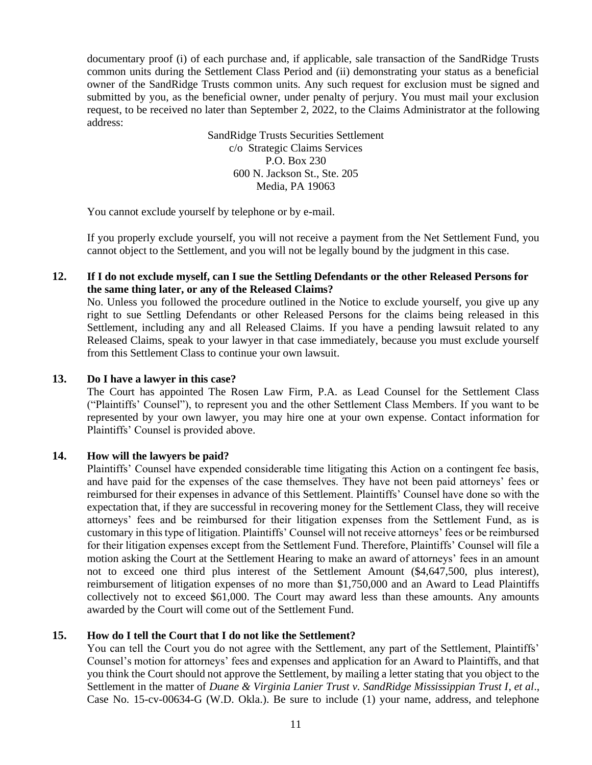documentary proof (i) of each purchase and, if applicable, sale transaction of the SandRidge Trusts common units during the Settlement Class Period and (ii) demonstrating your status as a beneficial owner of the SandRidge Trusts common units. Any such request for exclusion must be signed and submitted by you, as the beneficial owner, under penalty of perjury. You must mail your exclusion request, to be received no later than September 2, 2022, to the Claims Administrator at the following address:

> SandRidge Trusts Securities Settlement c/o Strategic Claims Services P.O. Box 230 600 N. Jackson St., Ste. 205 Media, PA 19063

You cannot exclude yourself by telephone or by e-mail.

If you properly exclude yourself, you will not receive a payment from the Net Settlement Fund, you cannot object to the Settlement, and you will not be legally bound by the judgment in this case.

## **12. If I do not exclude myself, can I sue the Settling Defendants or the other Released Persons for the same thing later, or any of the Released Claims?**

No. Unless you followed the procedure outlined in the Notice to exclude yourself, you give up any right to sue Settling Defendants or other Released Persons for the claims being released in this Settlement, including any and all Released Claims. If you have a pending lawsuit related to any Released Claims, speak to your lawyer in that case immediately, because you must exclude yourself from this Settlement Class to continue your own lawsuit.

### **13. Do I have a lawyer in this case?**

The Court has appointed The Rosen Law Firm, P.A. as Lead Counsel for the Settlement Class ("Plaintiffs' Counsel"), to represent you and the other Settlement Class Members. If you want to be represented by your own lawyer, you may hire one at your own expense. Contact information for Plaintiffs' Counsel is provided above.

### **14. How will the lawyers be paid?**

Plaintiffs' Counsel have expended considerable time litigating this Action on a contingent fee basis, and have paid for the expenses of the case themselves. They have not been paid attorneys' fees or reimbursed for their expenses in advance of this Settlement. Plaintiffs' Counsel have done so with the expectation that, if they are successful in recovering money for the Settlement Class, they will receive attorneys' fees and be reimbursed for their litigation expenses from the Settlement Fund, as is customary in this type of litigation. Plaintiffs' Counsel will not receive attorneys' fees or be reimbursed for their litigation expenses except from the Settlement Fund. Therefore, Plaintiffs' Counsel will file a motion asking the Court at the Settlement Hearing to make an award of attorneys' fees in an amount not to exceed one third plus interest of the Settlement Amount (\$4,647,500, plus interest), reimbursement of litigation expenses of no more than \$1,750,000 and an Award to Lead Plaintiffs collectively not to exceed \$61,000. The Court may award less than these amounts. Any amounts awarded by the Court will come out of the Settlement Fund.

### **15. How do I tell the Court that I do not like the Settlement?**

You can tell the Court you do not agree with the Settlement, any part of the Settlement, Plaintiffs' Counsel's motion for attorneys' fees and expenses and application for an Award to Plaintiffs, and that you think the Court should not approve the Settlement, by mailing a letter stating that you object to the Settlement in the matter of *Duane & Virginia Lanier Trust v. SandRidge Mississippian Trust I*, *et al*., Case No. 15-cv-00634-G (W.D. Okla.). Be sure to include (1) your name, address, and telephone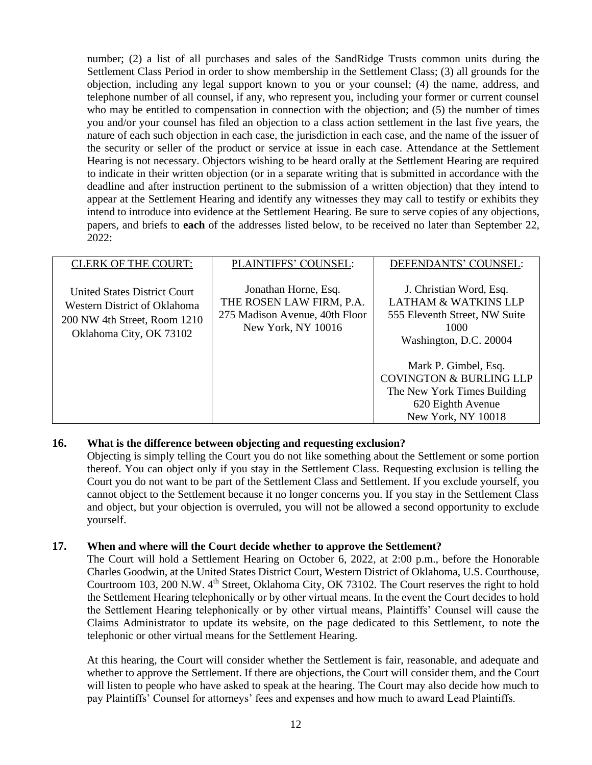number; (2) a list of all purchases and sales of the SandRidge Trusts common units during the Settlement Class Period in order to show membership in the Settlement Class; (3) all grounds for the objection, including any legal support known to you or your counsel; (4) the name, address, and telephone number of all counsel, if any, who represent you, including your former or current counsel who may be entitled to compensation in connection with the objection; and (5) the number of times you and/or your counsel has filed an objection to a class action settlement in the last five years, the nature of each such objection in each case, the jurisdiction in each case, and the name of the issuer of the security or seller of the product or service at issue in each case. Attendance at the Settlement Hearing is not necessary. Objectors wishing to be heard orally at the Settlement Hearing are required to indicate in their written objection (or in a separate writing that is submitted in accordance with the deadline and after instruction pertinent to the submission of a written objection) that they intend to appear at the Settlement Hearing and identify any witnesses they may call to testify or exhibits they intend to introduce into evidence at the Settlement Hearing. Be sure to serve copies of any objections, papers, and briefs to **each** of the addresses listed below, to be received no later than September 22, 2022:

| <b>CLERK OF THE COURT:</b>                                                                                              | PLAINTIFFS' COUNSEL:                                                                                     | DEFENDANTS' COUNSEL:                                                                                                                                                                                                                                                  |
|-------------------------------------------------------------------------------------------------------------------------|----------------------------------------------------------------------------------------------------------|-----------------------------------------------------------------------------------------------------------------------------------------------------------------------------------------------------------------------------------------------------------------------|
| United States District Court<br>Western District of Oklahoma<br>200 NW 4th Street, Room 1210<br>Oklahoma City, OK 73102 | Jonathan Horne, Esq.<br>THE ROSEN LAW FIRM, P.A.<br>275 Madison Avenue, 40th Floor<br>New York, NY 10016 | J. Christian Word, Esq.<br><b>LATHAM &amp; WATKINS LLP</b><br>555 Eleventh Street, NW Suite<br>1000<br>Washington, D.C. 20004<br>Mark P. Gimbel, Esq.<br><b>COVINGTON &amp; BURLING LLP</b><br>The New York Times Building<br>620 Eighth Avenue<br>New York, NY 10018 |

### **16. What is the difference between objecting and requesting exclusion?**

Objecting is simply telling the Court you do not like something about the Settlement or some portion thereof. You can object only if you stay in the Settlement Class. Requesting exclusion is telling the Court you do not want to be part of the Settlement Class and Settlement. If you exclude yourself, you cannot object to the Settlement because it no longer concerns you. If you stay in the Settlement Class and object, but your objection is overruled, you will not be allowed a second opportunity to exclude yourself.

#### **17. When and where will the Court decide whether to approve the Settlement?**

The Court will hold a Settlement Hearing on October 6, 2022, at 2:00 p.m., before the Honorable Charles Goodwin, at the United States District Court, Western District of Oklahoma, U.S. Courthouse, Courtroom 103, 200 N.W. 4<sup>th</sup> Street, Oklahoma City, OK 73102. The Court reserves the right to hold the Settlement Hearing telephonically or by other virtual means. In the event the Court decides to hold the Settlement Hearing telephonically or by other virtual means, Plaintiffs' Counsel will cause the Claims Administrator to update its website, on the page dedicated to this Settlement, to note the telephonic or other virtual means for the Settlement Hearing.

At this hearing, the Court will consider whether the Settlement is fair, reasonable, and adequate and whether to approve the Settlement. If there are objections, the Court will consider them, and the Court will listen to people who have asked to speak at the hearing. The Court may also decide how much to pay Plaintiffs' Counsel for attorneys' fees and expenses and how much to award Lead Plaintiffs.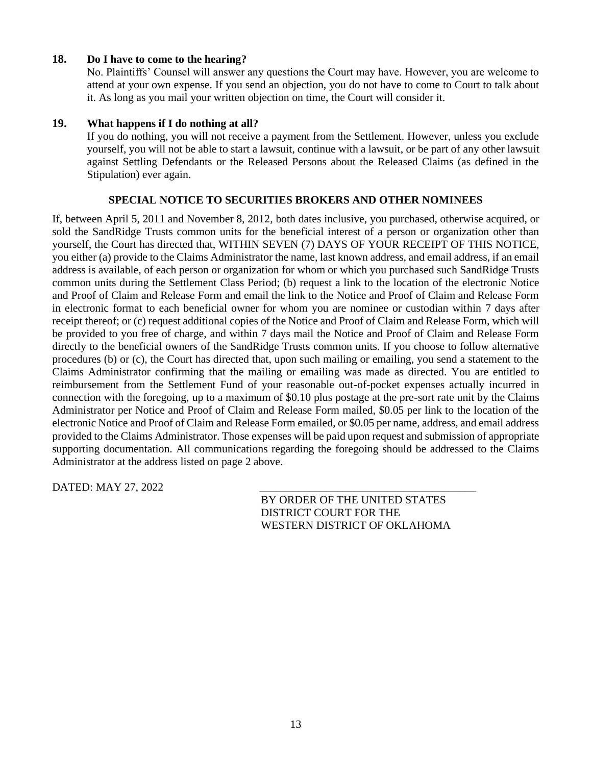### **18. Do I have to come to the hearing?**

No. Plaintiffs' Counsel will answer any questions the Court may have. However, you are welcome to attend at your own expense. If you send an objection, you do not have to come to Court to talk about it. As long as you mail your written objection on time, the Court will consider it.

### **19. What happens if I do nothing at all?**

If you do nothing, you will not receive a payment from the Settlement. However, unless you exclude yourself, you will not be able to start a lawsuit, continue with a lawsuit, or be part of any other lawsuit against Settling Defendants or the Released Persons about the Released Claims (as defined in the Stipulation) ever again.

### **SPECIAL NOTICE TO SECURITIES BROKERS AND OTHER NOMINEES**

If, between April 5, 2011 and November 8, 2012, both dates inclusive, you purchased, otherwise acquired, or sold the SandRidge Trusts common units for the beneficial interest of a person or organization other than yourself, the Court has directed that, WITHIN SEVEN (7) DAYS OF YOUR RECEIPT OF THIS NOTICE, you either (a) provide to the Claims Administrator the name, last known address, and email address, if an email address is available, of each person or organization for whom or which you purchased such SandRidge Trusts common units during the Settlement Class Period; (b) request a link to the location of the electronic Notice and Proof of Claim and Release Form and email the link to the Notice and Proof of Claim and Release Form in electronic format to each beneficial owner for whom you are nominee or custodian within 7 days after receipt thereof; or (c) request additional copies of the Notice and Proof of Claim and Release Form, which will be provided to you free of charge, and within 7 days mail the Notice and Proof of Claim and Release Form directly to the beneficial owners of the SandRidge Trusts common units. If you choose to follow alternative procedures (b) or (c), the Court has directed that, upon such mailing or emailing, you send a statement to the Claims Administrator confirming that the mailing or emailing was made as directed. You are entitled to reimbursement from the Settlement Fund of your reasonable out-of-pocket expenses actually incurred in connection with the foregoing, up to a maximum of \$0.10 plus postage at the pre-sort rate unit by the Claims Administrator per Notice and Proof of Claim and Release Form mailed, \$0.05 per link to the location of the electronic Notice and Proof of Claim and Release Form emailed, or \$0.05 per name, address, and email address provided to the Claims Administrator. Those expenses will be paid upon request and submission of appropriate supporting documentation. All communications regarding the foregoing should be addressed to the Claims Administrator at the address listed on page 2 above.

DATED: MAY 27, 2022

BY ORDER OF THE UNITED STATES DISTRICT COURT FOR THE WESTERN DISTRICT OF OKLAHOMA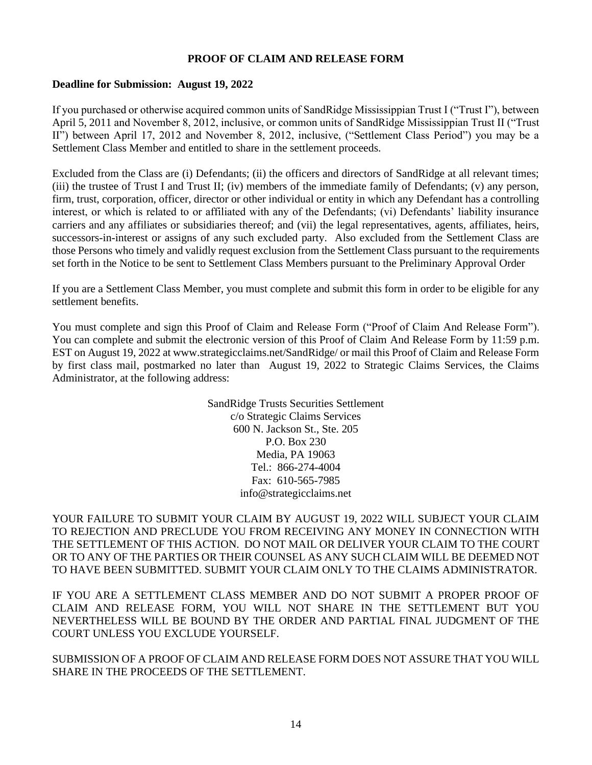### **PROOF OF CLAIM AND RELEASE FORM**

#### **Deadline for Submission: August 19, 2022**

If you purchased or otherwise acquired common units of SandRidge Mississippian Trust I ("Trust I"), between April 5, 2011 and November 8, 2012, inclusive, or common units of SandRidge Mississippian Trust II ("Trust II") between April 17, 2012 and November 8, 2012, inclusive, ("Settlement Class Period") you may be a Settlement Class Member and entitled to share in the settlement proceeds.

Excluded from the Class are (i) Defendants; (ii) the officers and directors of SandRidge at all relevant times; (iii) the trustee of Trust I and Trust II; (iv) members of the immediate family of Defendants; (v) any person, firm, trust, corporation, officer, director or other individual or entity in which any Defendant has a controlling interest, or which is related to or affiliated with any of the Defendants; (vi) Defendants' liability insurance carriers and any affiliates or subsidiaries thereof; and (vii) the legal representatives, agents, affiliates, heirs, successors-in-interest or assigns of any such excluded party. Also excluded from the Settlement Class are those Persons who timely and validly request exclusion from the Settlement Class pursuant to the requirements set forth in the Notice to be sent to Settlement Class Members pursuant to the Preliminary Approval Order

If you are a Settlement Class Member, you must complete and submit this form in order to be eligible for any settlement benefits.

You must complete and sign this Proof of Claim and Release Form ("Proof of Claim And Release Form"). You can complete and submit the electronic version of this Proof of Claim And Release Form by 11:59 p.m. EST on August 19, 2022 at www.strategicclaims.net/SandRidge/ or mail this Proof of Claim and Release Form by first class mail, postmarked no later than August 19, 2022 to Strategic Claims Services, the Claims Administrator, at the following address:

> SandRidge Trusts Securities Settlement c/o Strategic Claims Services 600 N. Jackson St., Ste. 205 P.O. Box 230 Media, PA 19063 Tel.: 866-274-4004 Fax: 610-565-7985 info@strategicclaims.net

YOUR FAILURE TO SUBMIT YOUR CLAIM BY AUGUST 19, 2022 WILL SUBJECT YOUR CLAIM TO REJECTION AND PRECLUDE YOU FROM RECEIVING ANY MONEY IN CONNECTION WITH THE SETTLEMENT OF THIS ACTION. DO NOT MAIL OR DELIVER YOUR CLAIM TO THE COURT OR TO ANY OF THE PARTIES OR THEIR COUNSEL AS ANY SUCH CLAIM WILL BE DEEMED NOT TO HAVE BEEN SUBMITTED. SUBMIT YOUR CLAIM ONLY TO THE CLAIMS ADMINISTRATOR.

IF YOU ARE A SETTLEMENT CLASS MEMBER AND DO NOT SUBMIT A PROPER PROOF OF CLAIM AND RELEASE FORM, YOU WILL NOT SHARE IN THE SETTLEMENT BUT YOU NEVERTHELESS WILL BE BOUND BY THE ORDER AND PARTIAL FINAL JUDGMENT OF THE COURT UNLESS YOU EXCLUDE YOURSELF.

SUBMISSION OF A PROOF OF CLAIM AND RELEASE FORM DOES NOT ASSURE THAT YOU WILL SHARE IN THE PROCEEDS OF THE SETTLEMENT.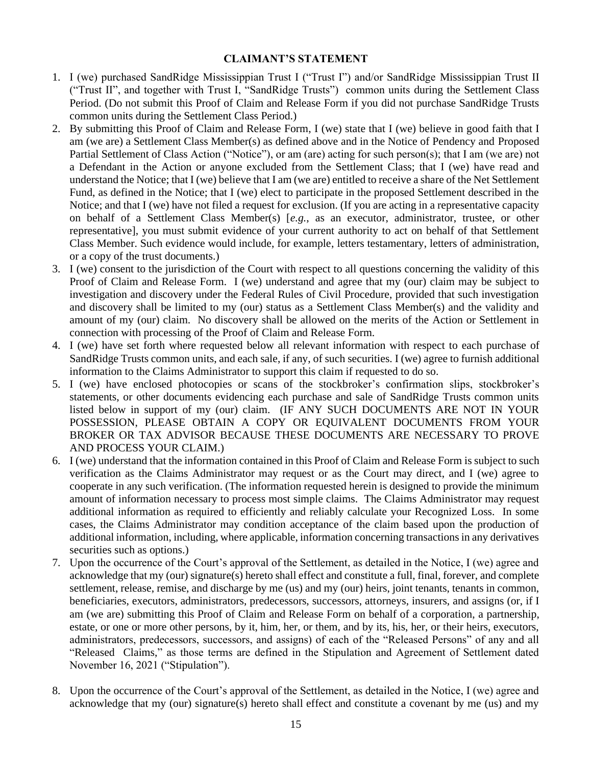### **CLAIMANT'S STATEMENT**

- 1. I (we) purchased SandRidge Mississippian Trust I ("Trust I") and/or SandRidge Mississippian Trust II ("Trust II", and together with Trust I, "SandRidge Trusts") common units during the Settlement Class Period. (Do not submit this Proof of Claim and Release Form if you did not purchase SandRidge Trusts common units during the Settlement Class Period.)
- 2. By submitting this Proof of Claim and Release Form, I (we) state that I (we) believe in good faith that I am (we are) a Settlement Class Member(s) as defined above and in the Notice of Pendency and Proposed Partial Settlement of Class Action ("Notice"), or am (are) acting for such person(s); that I am (we are) not a Defendant in the Action or anyone excluded from the Settlement Class; that I (we) have read and understand the Notice; that I (we) believe that I am (we are) entitled to receive a share of the Net Settlement Fund, as defined in the Notice; that I (we) elect to participate in the proposed Settlement described in the Notice; and that I (we) have not filed a request for exclusion. (If you are acting in a representative capacity on behalf of a Settlement Class Member(s) [*e.g.*, as an executor, administrator, trustee, or other representative], you must submit evidence of your current authority to act on behalf of that Settlement Class Member. Such evidence would include, for example, letters testamentary, letters of administration, or a copy of the trust documents.)
- 3. I (we) consent to the jurisdiction of the Court with respect to all questions concerning the validity of this Proof of Claim and Release Form. I (we) understand and agree that my (our) claim may be subject to investigation and discovery under the Federal Rules of Civil Procedure, provided that such investigation and discovery shall be limited to my (our) status as a Settlement Class Member(s) and the validity and amount of my (our) claim. No discovery shall be allowed on the merits of the Action or Settlement in connection with processing of the Proof of Claim and Release Form.
- 4. I (we) have set forth where requested below all relevant information with respect to each purchase of SandRidge Trusts common units, and each sale, if any, of such securities. I (we) agree to furnish additional information to the Claims Administrator to support this claim if requested to do so.
- 5. I (we) have enclosed photocopies or scans of the stockbroker's confirmation slips, stockbroker's statements, or other documents evidencing each purchase and sale of SandRidge Trusts common units listed below in support of my (our) claim. (IF ANY SUCH DOCUMENTS ARE NOT IN YOUR POSSESSION, PLEASE OBTAIN A COPY OR EQUIVALENT DOCUMENTS FROM YOUR BROKER OR TAX ADVISOR BECAUSE THESE DOCUMENTS ARE NECESSARY TO PROVE AND PROCESS YOUR CLAIM.)
- 6. I (we) understand that the information contained in this Proof of Claim and Release Form is subject to such verification as the Claims Administrator may request or as the Court may direct, and I (we) agree to cooperate in any such verification. (The information requested herein is designed to provide the minimum amount of information necessary to process most simple claims. The Claims Administrator may request additional information as required to efficiently and reliably calculate your Recognized Loss. In some cases, the Claims Administrator may condition acceptance of the claim based upon the production of additional information, including, where applicable, information concerning transactions in any derivatives securities such as options.)
- 7. Upon the occurrence of the Court's approval of the Settlement, as detailed in the Notice, I (we) agree and acknowledge that my (our) signature(s) hereto shall effect and constitute a full, final, forever, and complete settlement, release, remise, and discharge by me (us) and my (our) heirs, joint tenants, tenants in common, beneficiaries, executors, administrators, predecessors, successors, attorneys, insurers, and assigns (or, if I am (we are) submitting this Proof of Claim and Release Form on behalf of a corporation, a partnership, estate, or one or more other persons, by it, him, her, or them, and by its, his, her, or their heirs, executors, administrators, predecessors, successors, and assigns) of each of the "Released Persons" of any and all "Released Claims," as those terms are defined in the Stipulation and Agreement of Settlement dated November 16, 2021 ("Stipulation").
- 8. Upon the occurrence of the Court's approval of the Settlement, as detailed in the Notice, I (we) agree and acknowledge that my (our) signature(s) hereto shall effect and constitute a covenant by me (us) and my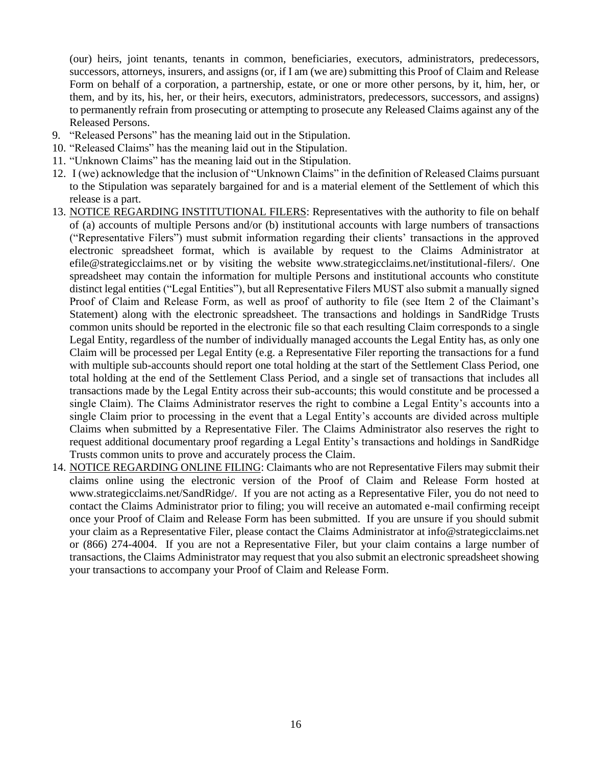(our) heirs, joint tenants, tenants in common, beneficiaries, executors, administrators, predecessors, successors, attorneys, insurers, and assigns (or, if I am (we are) submitting this Proof of Claim and Release Form on behalf of a corporation, a partnership, estate, or one or more other persons, by it, him, her, or them, and by its, his, her, or their heirs, executors, administrators, predecessors, successors, and assigns) to permanently refrain from prosecuting or attempting to prosecute any Released Claims against any of the Released Persons.

- 9. "Released Persons" has the meaning laid out in the Stipulation.
- 10. "Released Claims" has the meaning laid out in the Stipulation.
- 11. "Unknown Claims" has the meaning laid out in the Stipulation.
- 12. I (we) acknowledge that the inclusion of "Unknown Claims" in the definition of Released Claims pursuant to the Stipulation was separately bargained for and is a material element of the Settlement of which this release is a part.
- 13. NOTICE REGARDING INSTITUTIONAL FILERS: Representatives with the authority to file on behalf of (a) accounts of multiple Persons and/or (b) institutional accounts with large numbers of transactions ("Representative Filers") must submit information regarding their clients' transactions in the approved electronic spreadsheet format, which is available by request to the Claims Administrator at efile@strategicclaims.net or by visiting the website www.strategicclaims.net/institutional-filers/. One spreadsheet may contain the information for multiple Persons and institutional accounts who constitute distinct legal entities ("Legal Entities"), but all Representative Filers MUST also submit a manually signed Proof of Claim and Release Form, as well as proof of authority to file (see Item 2 of the Claimant's Statement) along with the electronic spreadsheet. The transactions and holdings in SandRidge Trusts common units should be reported in the electronic file so that each resulting Claim corresponds to a single Legal Entity, regardless of the number of individually managed accounts the Legal Entity has, as only one Claim will be processed per Legal Entity (e.g. a Representative Filer reporting the transactions for a fund with multiple sub-accounts should report one total holding at the start of the Settlement Class Period, one total holding at the end of the Settlement Class Period, and a single set of transactions that includes all transactions made by the Legal Entity across their sub-accounts; this would constitute and be processed a single Claim). The Claims Administrator reserves the right to combine a Legal Entity's accounts into a single Claim prior to processing in the event that a Legal Entity's accounts are divided across multiple Claims when submitted by a Representative Filer. The Claims Administrator also reserves the right to request additional documentary proof regarding a Legal Entity's transactions and holdings in SandRidge Trusts common units to prove and accurately process the Claim.
- 14. NOTICE REGARDING ONLINE FILING: Claimants who are not Representative Filers may submit their claims online using the electronic version of the Proof of Claim and Release Form hosted at www.strategicclaims.net/SandRidge/. If you are not acting as a Representative Filer, you do not need to contact the Claims Administrator prior to filing; you will receive an automated e-mail confirming receipt once your Proof of Claim and Release Form has been submitted. If you are unsure if you should submit your claim as a Representative Filer, please contact the Claims Administrator at info@strategicclaims.net or (866) 274-4004. If you are not a Representative Filer, but your claim contains a large number of transactions, the Claims Administrator may request that you also submit an electronic spreadsheet showing your transactions to accompany your Proof of Claim and Release Form.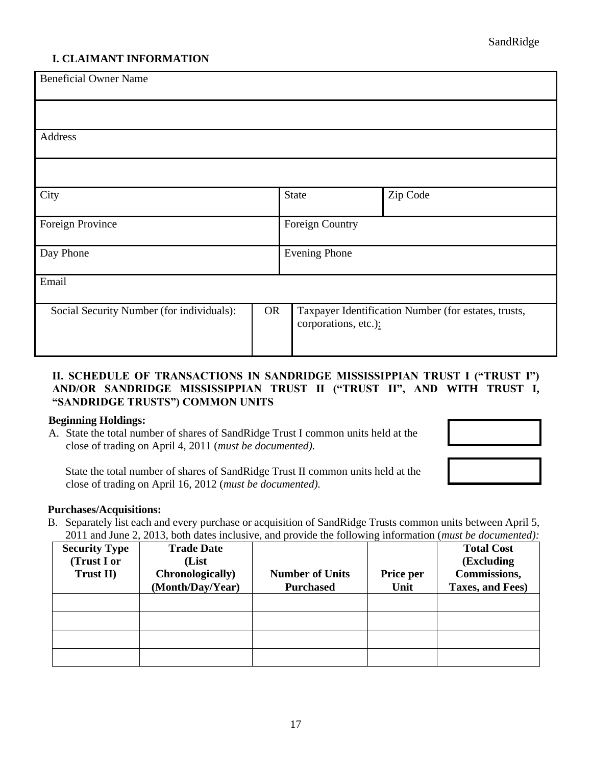## **I. CLAIMANT INFORMATION**

| <b>Beneficial Owner Name</b>              |           |                      |                                                      |  |
|-------------------------------------------|-----------|----------------------|------------------------------------------------------|--|
|                                           |           |                      |                                                      |  |
| Address                                   |           |                      |                                                      |  |
|                                           |           |                      |                                                      |  |
| City                                      |           | <b>State</b>         | Zip Code                                             |  |
| Foreign Province                          |           | Foreign Country      |                                                      |  |
| Day Phone                                 |           | <b>Evening Phone</b> |                                                      |  |
| Email                                     |           |                      |                                                      |  |
| Social Security Number (for individuals): | <b>OR</b> | corporations, etc.): | Taxpayer Identification Number (for estates, trusts, |  |

## **II. SCHEDULE OF TRANSACTIONS IN SANDRIDGE MISSISSIPPIAN TRUST I ("TRUST I") AND/OR SANDRIDGE MISSISSIPPIAN TRUST II ("TRUST II", AND WITH TRUST I, "SANDRIDGE TRUSTS") COMMON UNITS**

#### **Beginning Holdings:**

A. State the total number of shares of SandRidge Trust I common units held at the close of trading on April 4, 2011 (*must be documented).*

State the total number of shares of SandRidge Trust II common units held at the close of trading on April 16, 2012 (*must be documented).*

### **Purchases/Acquisitions:**

B. Separately list each and every purchase or acquisition of SandRidge Trusts common units between April 5, 2011 and June 2, 2013, both dates inclusive, and provide the following information (*must be documented):*

| <b>Security Type</b><br>(Trust I or<br>Trust II) | <b>Trade Date</b><br>(List<br>Chronologically)<br>(Month/Day/Year) | <b>Number of Units</b><br><b>Purchased</b> | Price per<br>Unit | <b>Total Cost</b><br>(Excluding<br>Commissions,<br>Taxes, and Fees) |
|--------------------------------------------------|--------------------------------------------------------------------|--------------------------------------------|-------------------|---------------------------------------------------------------------|
|                                                  |                                                                    |                                            |                   |                                                                     |
|                                                  |                                                                    |                                            |                   |                                                                     |
|                                                  |                                                                    |                                            |                   |                                                                     |
|                                                  |                                                                    |                                            |                   |                                                                     |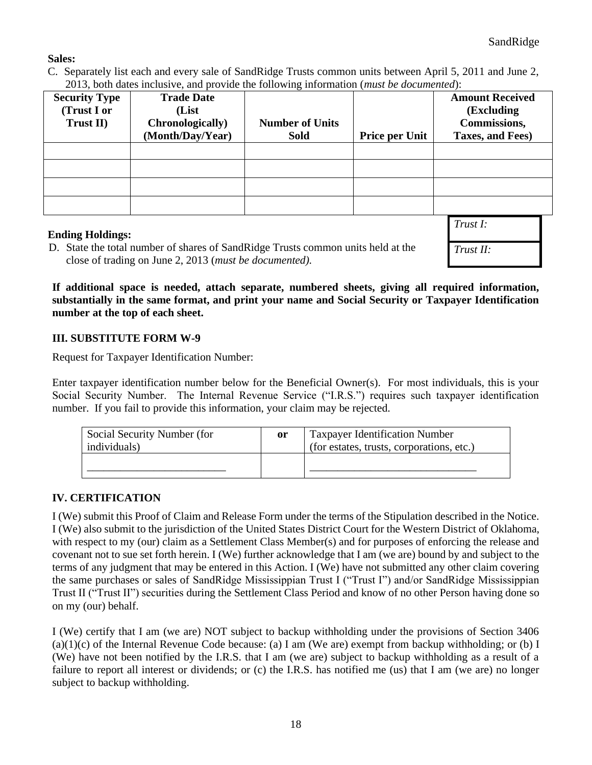# **Sales:**

C. Separately list each and every sale of SandRidge Trusts common units between April 5, 2011 and June 2, 2013, both dates inclusive, and provide the following information (*must be documented*):

| <b>Security Type</b> | <b>Trade Date</b>        |                        |                       | <b>Amount Received</b> |
|----------------------|--------------------------|------------------------|-----------------------|------------------------|
| (Trust I or          | (List                    |                        |                       | (Excluding)            |
| Trust II)            | <b>Chronologically</b> ) | <b>Number of Units</b> |                       | Commissions,           |
|                      | (Month/Day/Year)         | <b>Sold</b>            | <b>Price per Unit</b> | Taxes, and Fees)       |
|                      |                          |                        |                       |                        |
|                      |                          |                        |                       |                        |
|                      |                          |                        |                       |                        |
|                      |                          |                        |                       |                        |

## **Ending Holdings:**

D. State the total number of shares of SandRidge Trusts common units held at the close of trading on June 2, 2013 (*must be documented).*

*Trust I: Trust II:*

**If additional space is needed, attach separate, numbered sheets, giving all required information, substantially in the same format, and print your name and Social Security or Taxpayer Identification number at the top of each sheet.**

## **III. SUBSTITUTE FORM W-9**

Request for Taxpayer Identification Number:

Enter taxpayer identification number below for the Beneficial Owner(s). For most individuals, this is your Social Security Number. The Internal Revenue Service ("I.R.S.") requires such taxpayer identification number. If you fail to provide this information, your claim may be rejected.

| Social Security Number (for<br>individuals) | or | <b>Taxpayer Identification Number</b><br>(for estates, trusts, corporations, etc.) |
|---------------------------------------------|----|------------------------------------------------------------------------------------|
|                                             |    |                                                                                    |

# **IV. CERTIFICATION**

I (We) submit this Proof of Claim and Release Form under the terms of the Stipulation described in the Notice. I (We) also submit to the jurisdiction of the United States District Court for the Western District of Oklahoma, with respect to my (our) claim as a Settlement Class Member(s) and for purposes of enforcing the release and covenant not to sue set forth herein. I (We) further acknowledge that I am (we are) bound by and subject to the terms of any judgment that may be entered in this Action. I (We) have not submitted any other claim covering the same purchases or sales of SandRidge Mississippian Trust I ("Trust I") and/or SandRidge Mississippian Trust II ("Trust II") securities during the Settlement Class Period and know of no other Person having done so on my (our) behalf.

I (We) certify that I am (we are) NOT subject to backup withholding under the provisions of Section 3406  $(a)(1)(c)$  of the Internal Revenue Code because: (a) I am (We are) exempt from backup withholding; or (b) I (We) have not been notified by the I.R.S. that I am (we are) subject to backup withholding as a result of a failure to report all interest or dividends; or (c) the I.R.S. has notified me (us) that I am (we are) no longer subject to backup withholding.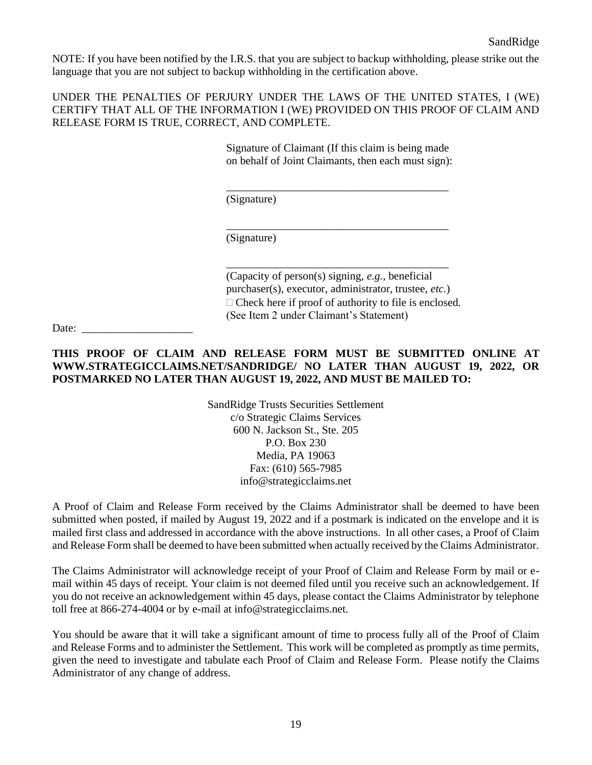NOTE: If you have been notified by the I.R.S. that you are subject to backup withholding, please strike out the language that you are not subject to backup withholding in the certification above.

UNDER THE PENALTIES OF PERJURY UNDER THE LAWS OF THE UNITED STATES, I (WE) CERTIFY THAT ALL OF THE INFORMATION I (WE) PROVIDED ON THIS PROOF OF CLAIM AND RELEASE FORM IS TRUE, CORRECT, AND COMPLETE.

> Signature of Claimant (If this claim is being made on behalf of Joint Claimants, then each must sign):

\_\_\_\_\_\_\_\_\_\_\_\_\_\_\_\_\_\_\_\_\_\_\_\_\_\_\_\_\_\_\_\_\_\_\_\_\_\_\_\_

\_\_\_\_\_\_\_\_\_\_\_\_\_\_\_\_\_\_\_\_\_\_\_\_\_\_\_\_\_\_\_\_\_\_\_\_\_\_\_\_

\_\_\_\_\_\_\_\_\_\_\_\_\_\_\_\_\_\_\_\_\_\_\_\_\_\_\_\_\_\_\_\_\_\_\_\_\_\_\_\_

(Signature)

(Signature)

(Capacity of person(s) signing, *e.g.*, beneficial purchaser(s), executor, administrator, trustee, *etc.*)  $\Box$  Check here if proof of authority to file is enclosed. (See Item 2 under Claimant's Statement)

Date:

## **THIS PROOF OF CLAIM AND RELEASE FORM MUST BE SUBMITTED ONLINE AT WWW.STRATEGICCLAIMS.NET/SANDRIDGE/ NO LATER THAN AUGUST 19, 2022, OR POSTMARKED NO LATER THAN AUGUST 19, 2022, AND MUST BE MAILED TO:**

SandRidge Trusts Securities Settlement c/o Strategic Claims Services 600 N. Jackson St., Ste. 205 P.O. Box 230 Media, PA 19063 Fax: (610) 565-7985 info@strategicclaims.net

A Proof of Claim and Release Form received by the Claims Administrator shall be deemed to have been submitted when posted, if mailed by August 19, 2022 and if a postmark is indicated on the envelope and it is mailed first class and addressed in accordance with the above instructions. In all other cases, a Proof of Claim and Release Form shall be deemed to have been submitted when actually received by the Claims Administrator.

The Claims Administrator will acknowledge receipt of your Proof of Claim and Release Form by mail or email within 45 days of receipt. Your claim is not deemed filed until you receive such an acknowledgement. If you do not receive an acknowledgement within 45 days, please contact the Claims Administrator by telephone toll free at 866-274-4004 or by e-mail at info@strategicclaims.net.

You should be aware that it will take a significant amount of time to process fully all of the Proof of Claim and Release Forms and to administer the Settlement. This work will be completed as promptly as time permits, given the need to investigate and tabulate each Proof of Claim and Release Form. Please notify the Claims Administrator of any change of address.